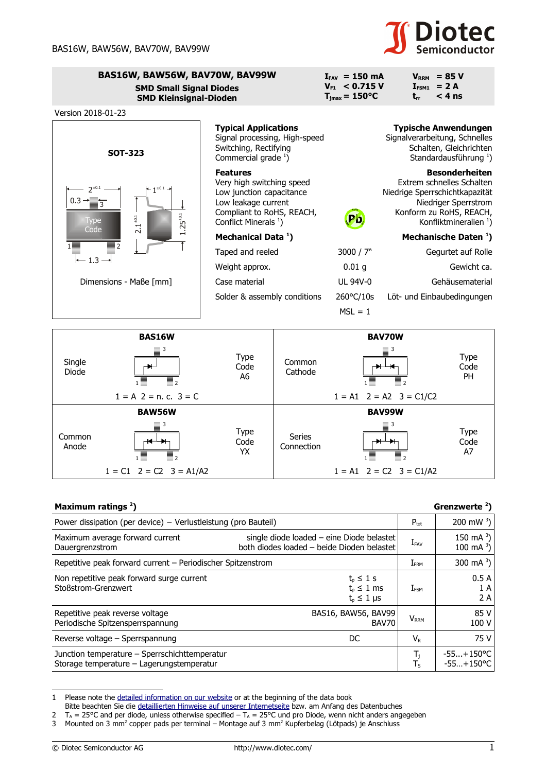## **Diotec**

| BAS16W, BAW56W, BAV70W, BAV99W<br><b>SMD Small Signal Diodes</b><br><b>SMD Kleinsignal-Dioden</b>                                                                             |                                                                                                                                                                  |  | $I_{FAV} = 150 \text{ mA}$<br>$V_{F1}$ < 0.715 V<br>$T_{\text{jmax}} = 150^{\circ}C$ | $\mathbf{I}_{\mathsf{FSM1}}$<br>$t_{rr}$ | $VRRM$ = 85 V<br>$= 2A$<br>$< 4$ ns                                                                                                                                          |
|-------------------------------------------------------------------------------------------------------------------------------------------------------------------------------|------------------------------------------------------------------------------------------------------------------------------------------------------------------|--|--------------------------------------------------------------------------------------|------------------------------------------|------------------------------------------------------------------------------------------------------------------------------------------------------------------------------|
| Version 2018-01-23                                                                                                                                                            |                                                                                                                                                                  |  |                                                                                      |                                          |                                                                                                                                                                              |
| <b>SOT-323</b>                                                                                                                                                                | <b>Typical Applications</b><br>Signal processing, High-speed<br>Switching, Rectifying<br>Commercial grade $1$ )                                                  |  |                                                                                      |                                          | <b>Typische Anwendungen</b><br>Signalverarbeitung, Schnelles<br>Schalten, Gleichrichten<br>Standardausführung <sup>1</sup> )                                                 |
| $1^{\pm 0.1}$ $\rightarrow$<br>$0.3 \rightarrow$<br>$5^{\pm 0.1}$<br>$1^{\pm0.1}$<br><b>Type</b><br>Ņ<br>Code<br>$\overline{\mathsf{N}}$<br>$1.3 -$<br>Dimensions - Maße [mm] | <b>Features</b><br>Very high switching speed<br>Low junction capacitance<br>Low leakage current<br>Compliant to RoHS, REACH,<br>Conflict Minerals <sup>1</sup> ) |  | Pb                                                                                   |                                          | <b>Besonderheiten</b><br>Extrem schnelles Schalten<br>Niedrige Sperrschichtkapazität<br>Niedriger Sperrstrom<br>Konform zu RoHS, REACH,<br>Konfliktmineralien <sup>1</sup> ) |
|                                                                                                                                                                               | Mechanical Data <sup>1</sup> )                                                                                                                                   |  |                                                                                      |                                          | Mechanische Daten <sup>1</sup> )                                                                                                                                             |
|                                                                                                                                                                               | Taped and reeled                                                                                                                                                 |  | 3000 / $7"$                                                                          |                                          | Gegurtet auf Rolle                                                                                                                                                           |
|                                                                                                                                                                               | Weight approx.                                                                                                                                                   |  | $0.01$ g                                                                             |                                          | Gewicht ca.                                                                                                                                                                  |
|                                                                                                                                                                               | Case material                                                                                                                                                    |  | UL 94V-0                                                                             |                                          | Gehäusematerial                                                                                                                                                              |
|                                                                                                                                                                               | Solder & assembly conditions                                                                                                                                     |  | $260^{\circ}$ C/10s                                                                  |                                          | Löt- und Einbaubedingungen                                                                                                                                                   |
|                                                                                                                                                                               |                                                                                                                                                                  |  | $MSL = 1$                                                                            |                                          |                                                                                                                                                                              |
| <b>BAS16W</b>                                                                                                                                                                 | <b>BAV70W</b>                                                                                                                                                    |  |                                                                                      |                                          |                                                                                                                                                                              |

|                 | <b>BAS16W</b>                 |                           |                      | <b>BAV70W</b>                 |                           |
|-----------------|-------------------------------|---------------------------|----------------------|-------------------------------|---------------------------|
| Single<br>Diode | 3                             | <b>Type</b><br>Code<br>A6 | Common<br>Cathode    |                               | Type<br>Code<br><b>PH</b> |
|                 | $1 = A$ 2 = n, c, 3 = C       |                           |                      | $1 = A1$ $2 = A2$ $3 = C1/C2$ |                           |
|                 | <b>BAW56W</b>                 |                           |                      | <b>BAV99W</b>                 |                           |
| Common<br>Anode | 3                             | <b>Type</b><br>Code<br>YX | Series<br>Connection |                               | Type<br>Code<br>A7        |
|                 | $1 = C1$ $2 = C2$ $3 = A1/A2$ |                           |                      | $1 = A1$ $2 = C2$ $3 = C1/A2$ |                           |

| Maximum ratings $2$ )                                                                      |                                                                                         |                                                     | Grenzwerte $2$ )                   |
|--------------------------------------------------------------------------------------------|-----------------------------------------------------------------------------------------|-----------------------------------------------------|------------------------------------|
| Power dissipation (per device) – Verlustleistung (pro Bauteil)                             |                                                                                         | $P_{\text{tot}}$                                    | 200 mW $^{3}$ )                    |
| Maximum average forward current<br>Dauergrenzstrom                                         | single diode loaded - eine Diode belastet<br>both diodes loaded - beide Dioden belastet | $I_{\text{FAV}}$                                    | 150 mA $^{3}$ )<br>100 mA $^{3}$ ) |
| Repetitive peak forward current – Periodischer Spitzenstrom                                |                                                                                         | I <sub>FRM</sub>                                    | 300 mA $^{3}$ )                    |
| Non repetitive peak forward surge current<br>Stoßstrom-Grenzwert                           | $t_p \leq 1$ s<br>$t_{p} \leq 1$ ms<br>$t_{p} \leq 1$ µs                                | $I_{\text{FSM}}$                                    | 0.5A<br>1 A<br>2 A                 |
| Repetitive peak reverse voltage<br>Periodische Spitzensperrspannung                        | BAS16, BAW56, BAV99<br>BAV70                                                            | $V_{RRM}$                                           | 85 V<br>100 V                      |
| Reverse voltage – Sperrspannung                                                            | DC                                                                                      | $V_{R}$                                             | 75 V                               |
| Junction temperature - Sperrschichttemperatur<br>Storage temperature - Lagerungstemperatur |                                                                                         | $T_{\rm j}$<br>$T_{\scriptscriptstyle{\mathsf{S}}}$ | $-55+150$ °C<br>$-55+150$ °C       |

<span id="page-0-0"></span><sup>1</sup> Please note the [detailed information on our website](http://diotec.com/en/products/all-products.html) or at the beginning of the data book

Bitte beachten Sie die [detaillierten Hinweise auf unserer Internetseite](http://diotec.com/de/produkte/uebersicht.html) bzw. am Anfang des Datenbuches

<span id="page-0-1"></span><sup>2</sup>  $T_A$  = 25°C and per diode, unless otherwise specified  $-T_A$  = 25°C und pro Diode, wenn nicht anders angegeben

<span id="page-0-2"></span><sup>3</sup> Mounted on 3 mm<sup>2</sup> copper pads per terminal – Montage auf 3 mm<sup>2</sup> Kupferbelag (Lötpads) je Anschluss